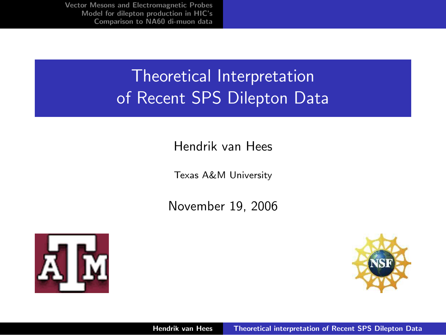## Theoretical Interpretation of Recent SPS Dilepton Data

#### Hendrik van Hees

Texas A&M University

November 19, 2006



<span id="page-0-0"></span>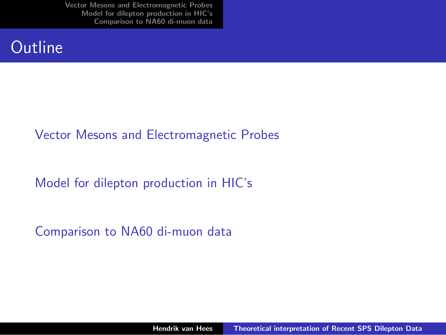#### **Outline**

#### [Vector Mesons and Electromagnetic Probes](#page-2-0)

[Model for dilepton production in HIC's](#page-3-0)

[Comparison to NA60 di-muon data](#page-5-0)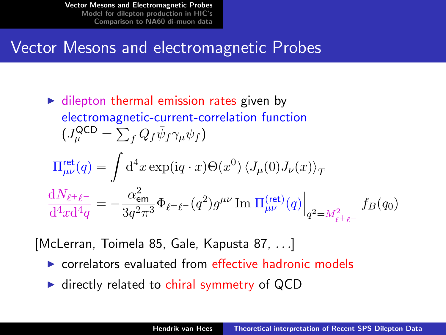#### Vector Mesons and electromagnetic Probes

► dilepton thermal emission rates given by  
\nelectromagnetic-current-correlation function  
\n
$$
(J_{\mu}^{QCD} = \sum_{f} Q_{f} \bar{\psi}_{f} \gamma_{\mu} \psi_{f})
$$
\n
$$
\Pi_{\mu\nu}^{\text{ret}}(q) = \int d^{4}x \exp(iq \cdot x) \Theta(x^{0}) \langle J_{\mu}(0)J_{\nu}(x) \rangle_{T}
$$
\n
$$
\frac{dN_{\ell^{+}\ell^{-}}}{d^{4}x d^{4}q} = -\frac{\alpha_{em}^{2}}{3q^{2}\pi^{3}} \Phi_{\ell^{+}\ell^{-}}(q^{2}) g^{\mu\nu} \operatorname{Im} \Pi_{\mu\nu}^{(\text{ret})}(q) \Big|_{q^{2}=M_{\ell^{+}\ell^{-}}} f_{B}(q_{0})
$$

[McLerran, Toimela 85, Gale, Kapusta 87, . . .]

- $\triangleright$  correlators evaluated from effective hadronic models
- <span id="page-2-0"></span> $\blacktriangleright$  directly related to chiral symmetry of QCD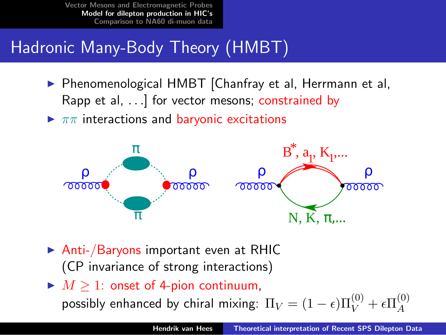# Hadronic Many-Body Theory (HMBT)

- ▶ Phenomenological HMBT [Chanfray et al, Herrmann et al, Rapp et al, ...] for vector mesons; constrained by
- $\blacktriangleright \pi\pi$  interactions and baryonic excitations



- $\triangleright$  Anti-/Baryons important even at RHIC (CP invariance of strong interactions)
- $\blacktriangleright M \geq 1$ : onset of 4-pion continuum,

<span id="page-3-0"></span>possibly enhanced by chiral mixing:  $\Pi_V = (1-\epsilon) \Pi_V^{(0)} + \epsilon \Pi_A^{(0)}$ A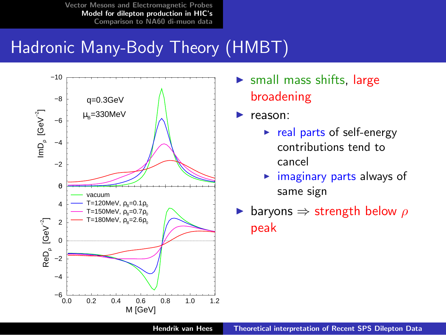## Hadronic Many-Body Theory (HMBT)



- $\triangleright$  small mass shifts, large broadening
- $\blacktriangleright$  reason:
	- $\triangleright$  real parts of self-energy contributions tend to cancel
	- $\blacktriangleright$  imaginary parts always of same sign
- ► baryons  $\Rightarrow$  strength below  $\rho$ peak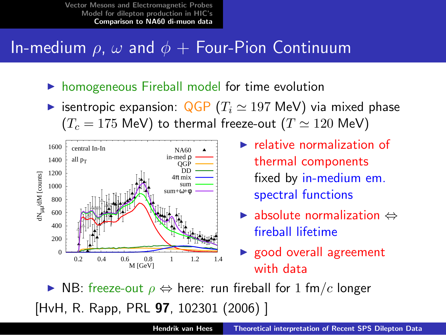### In-medium  $\rho$ ,  $\omega$  and  $\phi$  + Four-Pion Continuum

- $\triangleright$  homogeneous Fireball model for time evolution
- isentropic expansion:  $QGP (T_i \approx 197 \text{ MeV})$  via mixed phase  $(T_c = 175 \text{ MeV})$  to thermal freeze-out  $(T \simeq 120 \text{ MeV})$



- $\blacktriangleright$  relative normalization of thermal components fixed by in-medium em. spectral functions
- $\blacktriangleright$  absolute normalization  $\Leftrightarrow$ fireball lifetime
- <span id="page-5-0"></span> $\triangleright$  good overall agreement with data

 $\triangleright$  NB: freeze-out  $\rho \Leftrightarrow$  here: run fireball for 1 fm/c longer [HvH, R. Rapp, PRL 97, 102301 (2006) ]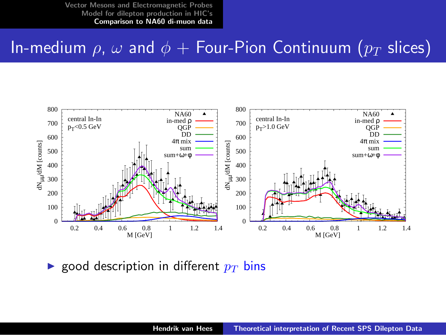#### In-medium  $\rho$ ,  $\omega$  and  $\phi$  + Four-Pion Continuum ( $p_T$  slices)



**Exercise** good description in different  $p_T$  bins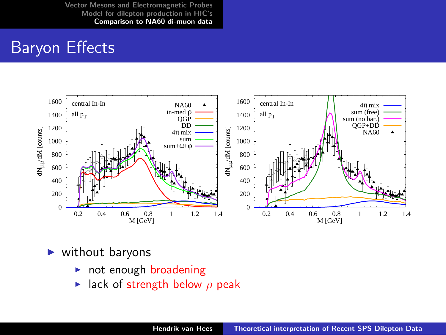### Baryon Effects



- without baryons
	- $\triangleright$  not enough broadening
	- In lack of strength below  $\rho$  peak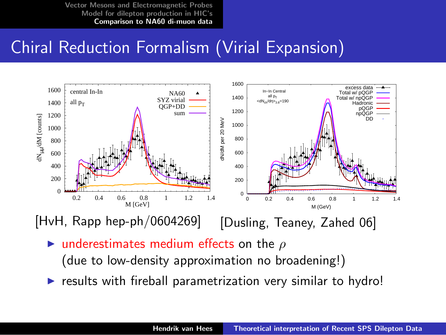## Chiral Reduction Formalism (Virial Expansion)



[HvH, Rapp hep-ph/0604269]

[Dusling, Teaney, Zahed 06]

underestimates medium effects on the  $\rho$ 

(due to low-density approximation no broadening!)

results with fireball parametrization very similar to hydro!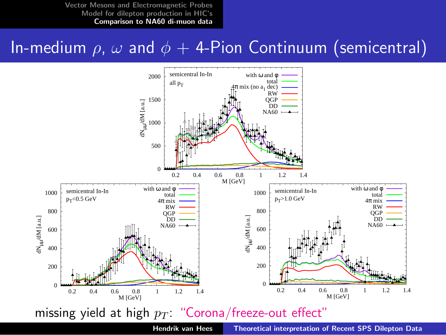## In-medium  $\rho$ ,  $\omega$  and  $\phi$  + 4-Pion Continuum (semicentral)

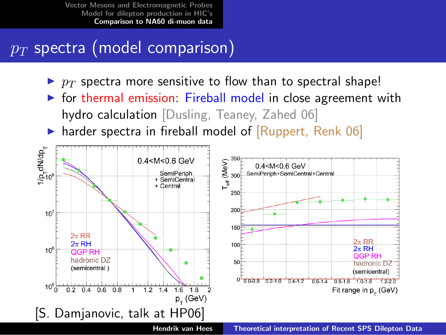## $p_T$  spectra (model comparison)

- $\blacktriangleright$   $p_T$  spectra more sensitive to flow than to spectral shape!
- $\triangleright$  for thermal emission: Fireball model in close agreement with hydro calculation [Dusling, Teaney, Zahed 06]
- harder spectra in fireball model of [Ruppert, Renk 06]

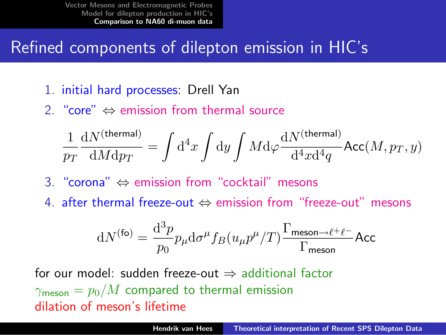## Refined components of dilepton emission in HIC's

- 1. initial hard processes: Drell Yan
- 2. "core"  $\Leftrightarrow$  emission from thermal source

$$
\frac{1}{p_T}\frac{\mathrm{d}N^{\rm (thermal)}}{\mathrm{d}M\mathrm{d}p_T} = \int \mathrm{d}^4x \int \mathrm{d}y \int M\mathrm{d}\varphi \frac{\mathrm{d}N^{\rm (thermal)}}{\mathrm{d}^4x\mathrm{d}^4q} \mathrm{Acc}(M,p_T,y)
$$

- 3. "corona" ⇔ emission from "cocktail" mesons
- 4. after thermal freeze-out ⇔ emission from "freeze-out" mesons

$$
\mathrm{d}N^{(\text{fo})}=\frac{\mathrm{d}^3p}{p_0}p_{\mu}\mathrm{d}\sigma^{\mu}f_B(u_{\mu}p^{\mu}/T)\frac{\Gamma_{\text{meson}\rightarrow\ell^+\ell^-}}{\Gamma_{\text{meson}}}\mathsf{Acc}
$$

for our model: sudden freeze-out  $\Rightarrow$  additional factor  $\gamma_{\rm meson} = p_0/M$  compared to thermal emission dilation of meson's lifetime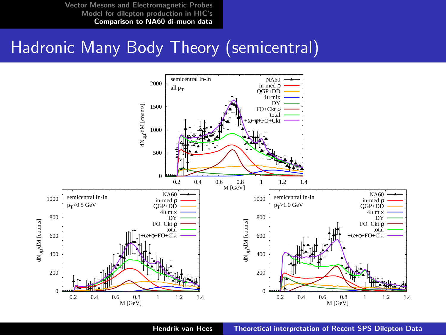### Hadronic Many Body Theory (semicentral)



Hendrik van Hees [Theoretical interpretation of Recent SPS Dilepton Data](#page-0-0)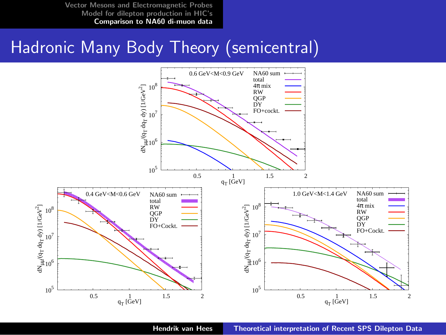#### Hadronic Many Body Theory (semicentral)



Hendrik van Hees [Theoretical interpretation of Recent SPS Dilepton Data](#page-0-0)